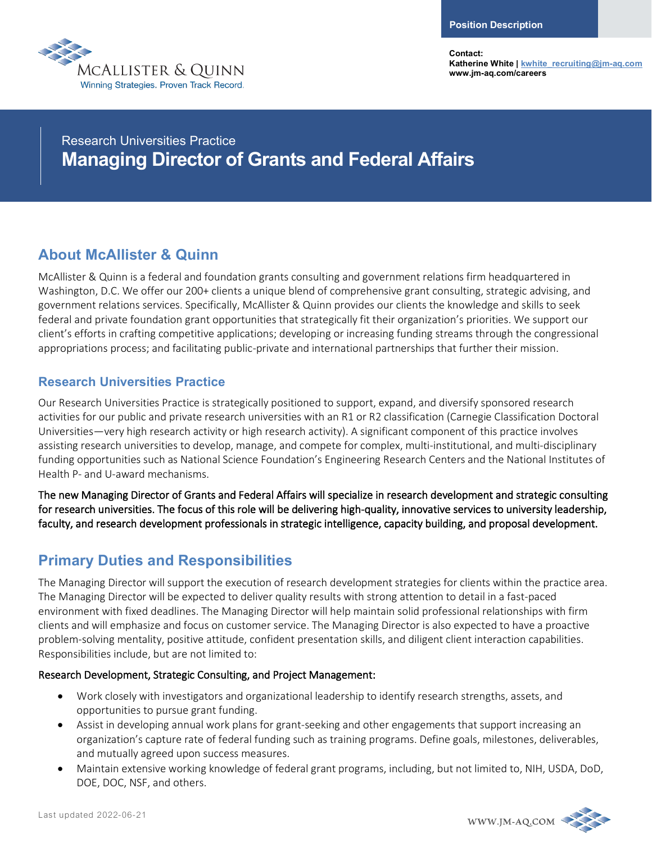

**Contact: Katherine White [| kwhite\\_recruiting@jm-aq.com](mailto:kwhite_recruiting@jm-aq.com) www.jm-aq.com/careers**

# Research Universities Practice **Managing Director of Grants and Federal Affairs**

### **About McAllister & Quinn**

McAllister & Quinn is a federal and foundation grants consulting and government relations firm headquartered in Washington, D.C. We offer our 200+ clients a unique blend of comprehensive grant consulting, strategic advising, and government relations services. Specifically, McAllister & Quinn provides our clients the knowledge and skills to seek federal and private foundation grant opportunities that strategically fit their organization's priorities. We support our client's efforts in crafting competitive applications; developing or increasing funding streams through the congressional appropriations process; and facilitating public-private and international partnerships that further their mission.

### **Research Universities Practice**

Our Research Universities Practice is strategically positioned to support, expand, and diversify sponsored research activities for our public and private research universities with an R1 or R2 classification (Carnegie Classification Doctoral Universities—very high research activity or high research activity). A significant component of this practice involves assisting research universities to develop, manage, and compete for complex, multi-institutional, and multi-disciplinary funding opportunities such as National Science Foundation's Engineering Research Centers and the National Institutes of Health P- and U-award mechanisms.

The new Managing Director of Grants and Federal Affairs will specialize in research development and strategic consulting for research universities. The focus of this role will be delivering high-quality, innovative services to university leadership, faculty, and research development professionals in strategic intelligence, capacity building, and proposal development.

# **Primary Duties and Responsibilities**

The Managing Director will support the execution of research development strategies for clients within the practice area. The Managing Director will be expected to deliver quality results with strong attention to detail in a fast-paced environment with fixed deadlines. The Managing Director will help maintain solid professional relationships with firm clients and will emphasize and focus on customer service. The Managing Director is also expected to have a proactive problem-solving mentality, positive attitude, confident presentation skills, and diligent client interaction capabilities. Responsibilities include, but are not limited to:

#### Research Development, Strategic Consulting, and Project Management:

- Work closely with investigators and organizational leadership to identify research strengths, assets, and opportunities to pursue grant funding.
- Assist in developing annual work plans for grant-seeking and other engagements that support increasing an organization's capture rate of federal funding such as training programs. Define goals, milestones, deliverables, and mutually agreed upon success measures.
- Maintain extensive working knowledge of federal grant programs, including, but not limited to, NIH, USDA, DoD, DOE, DOC, NSF, and others.